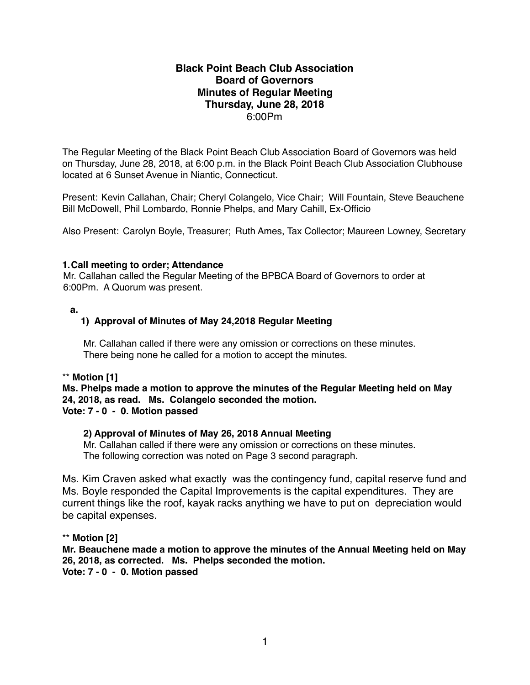# **Black Point Beach Club Association Board of Governors Minutes of Regular Meeting Thursday, June 28, 2018** 6:00Pm

The Regular Meeting of the Black Point Beach Club Association Board of Governors was held on Thursday, June 28, 2018, at 6:00 p.m. in the Black Point Beach Club Association Clubhouse located at 6 Sunset Avenue in Niantic, Connecticut.

Present: Kevin Callahan, Chair; Cheryl Colangelo, Vice Chair; Will Fountain, Steve Beauchene Bill McDowell, Phil Lombardo, Ronnie Phelps, and Mary Cahill, Ex-Officio

Also Present: Carolyn Boyle, Treasurer; Ruth Ames, Tax Collector; Maureen Lowney, Secretary

## **1.Call meeting to order; Attendance**

Mr. Callahan called the Regular Meeting of the BPBCA Board of Governors to order at 6:00Pm. A Quorum was present.

## **a.**

# **1) Approval of Minutes of May 24,2018 Regular Meeting**

 Mr. Callahan called if there were any omission or corrections on these minutes. There being none he called for a motion to accept the minutes.

## \*\* **Motion [1]**

**Ms. Phelps made a motion to approve the minutes of the Regular Meeting held on May 24, 2018, as read. Ms. Colangelo seconded the motion. Vote: 7 - 0 - 0. Motion passed**

# **2) Approval of Minutes of May 26, 2018 Annual Meeting**

Mr. Callahan called if there were any omission or corrections on these minutes. The following correction was noted on Page 3 second paragraph.

Ms. Kim Craven asked what exactly was the contingency fund, capital reserve fund and Ms. Boyle responded the Capital Improvements is the capital expenditures. They are current things like the roof, kayak racks anything we have to put on depreciation would be capital expenses.

## \*\* **Motion [2]**

**Mr. Beauchene made a motion to approve the minutes of the Annual Meeting held on May 26, 2018, as corrected. Ms. Phelps seconded the motion. Vote: 7 - 0 - 0. Motion passed**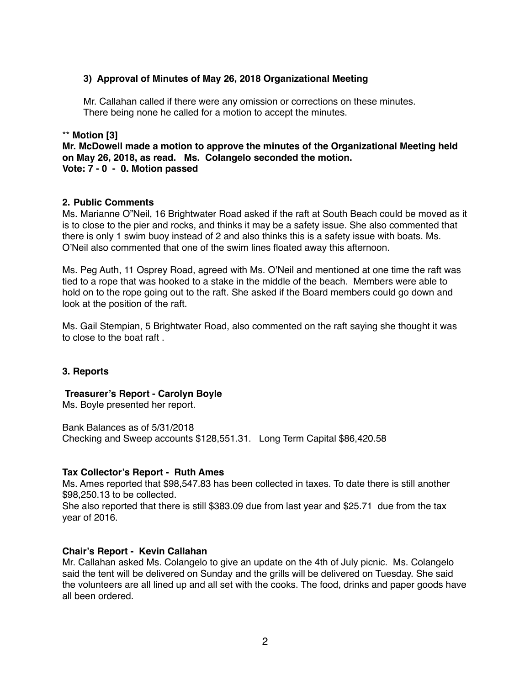## **3) Approval of Minutes of May 26, 2018 Organizational Meeting**

Mr. Callahan called if there were any omission or corrections on these minutes. There being none he called for a motion to accept the minutes.

#### \*\* **Motion [3]**

**Mr. McDowell made a motion to approve the minutes of the Organizational Meeting held on May 26, 2018, as read. Ms. Colangelo seconded the motion. Vote: 7 - 0 - 0. Motion passed**

## **2. Public Comments**

Ms. Marianne O"Neil, 16 Brightwater Road asked if the raft at South Beach could be moved as it is to close to the pier and rocks, and thinks it may be a safety issue. She also commented that there is only 1 swim buoy instead of 2 and also thinks this is a safety issue with boats. Ms. O'Neil also commented that one of the swim lines floated away this afternoon.

Ms. Peg Auth, 11 Osprey Road, agreed with Ms. O'Neil and mentioned at one time the raft was tied to a rope that was hooked to a stake in the middle of the beach. Members were able to hold on to the rope going out to the raft. She asked if the Board members could go down and look at the position of the raft.

Ms. Gail Stempian, 5 Brightwater Road, also commented on the raft saying she thought it was to close to the boat raft .

## **3. Reports**

 **Treasurer's Report - Carolyn Boyle**

Ms. Boyle presented her report.

Bank Balances as of 5/31/2018 Checking and Sweep accounts \$128,551.31. Long Term Capital \$86,420.58

## **Tax Collector's Report - Ruth Ames**

Ms. Ames reported that \$98,547.83 has been collected in taxes. To date there is still another \$98,250.13 to be collected.

She also reported that there is still \$383.09 due from last year and \$25.71 due from the tax year of 2016.

## **Chair's Report - Kevin Callahan**

Mr. Callahan asked Ms. Colangelo to give an update on the 4th of July picnic. Ms. Colangelo said the tent will be delivered on Sunday and the grills will be delivered on Tuesday. She said the volunteers are all lined up and all set with the cooks. The food, drinks and paper goods have all been ordered.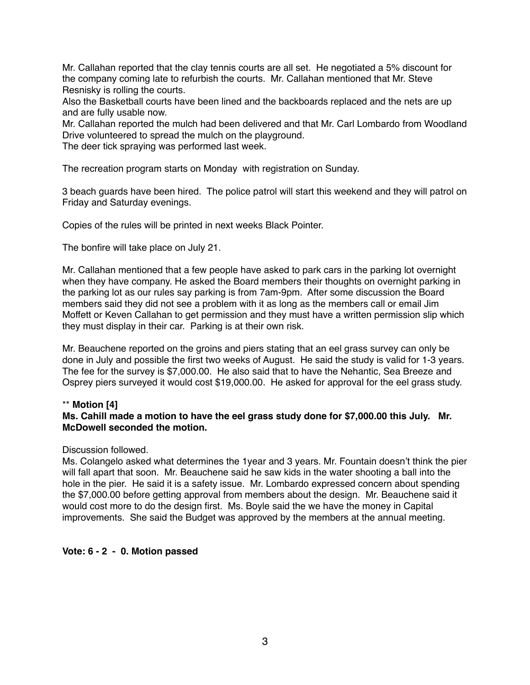Mr. Callahan reported that the clay tennis courts are all set. He negotiated a 5% discount for the company coming late to refurbish the courts. Mr. Callahan mentioned that Mr. Steve Resnisky is rolling the courts.

Also the Basketball courts have been lined and the backboards replaced and the nets are up and are fully usable now.

Mr. Callahan reported the mulch had been delivered and that Mr. Carl Lombardo from Woodland Drive volunteered to spread the mulch on the playground.

The deer tick spraying was performed last week.

The recreation program starts on Monday with registration on Sunday.

3 beach guards have been hired. The police patrol will start this weekend and they will patrol on Friday and Saturday evenings.

Copies of the rules will be printed in next weeks Black Pointer.

The bonfire will take place on July 21.

Mr. Callahan mentioned that a few people have asked to park cars in the parking lot overnight when they have company. He asked the Board members their thoughts on overnight parking in the parking lot as our rules say parking is from 7am-9pm. After some discussion the Board members said they did not see a problem with it as long as the members call or email Jim Moffett or Keven Callahan to get permission and they must have a written permission slip which they must display in their car. Parking is at their own risk.

Mr. Beauchene reported on the groins and piers stating that an eel grass survey can only be done in July and possible the first two weeks of August. He said the study is valid for 1-3 years. The fee for the survey is \$7,000.00. He also said that to have the Nehantic, Sea Breeze and Osprey piers surveyed it would cost \$19,000.00. He asked for approval for the eel grass study.

## \*\* **Motion [4]**

## **Ms. Cahill made a motion to have the eel grass study done for \$7,000.00 this July. Mr. McDowell seconded the motion.**

#### Discussion followed.

Ms. Colangelo asked what determines the 1year and 3 years. Mr. Fountain doesn't think the pier will fall apart that soon. Mr. Beauchene said he saw kids in the water shooting a ball into the hole in the pier. He said it is a safety issue. Mr. Lombardo expressed concern about spending the \$7,000.00 before getting approval from members about the design. Mr. Beauchene said it would cost more to do the design first. Ms. Boyle said the we have the money in Capital improvements. She said the Budget was approved by the members at the annual meeting.

## **Vote: 6 - 2 - 0. Motion passed**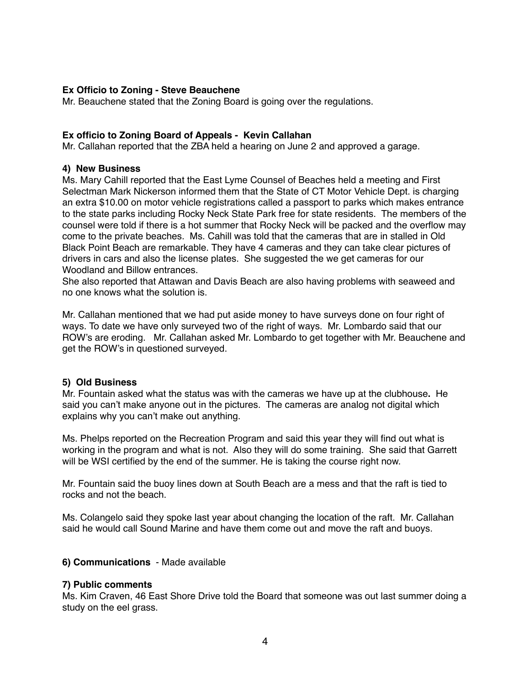#### **Ex Officio to Zoning - Steve Beauchene**

Mr. Beauchene stated that the Zoning Board is going over the regulations.

#### **Ex officio to Zoning Board of Appeals - Kevin Callahan**

Mr. Callahan reported that the ZBA held a hearing on June 2 and approved a garage.

#### **4) New Business**

Ms. Mary Cahill reported that the East Lyme Counsel of Beaches held a meeting and First Selectman Mark Nickerson informed them that the State of CT Motor Vehicle Dept. is charging an extra \$10.00 on motor vehicle registrations called a passport to parks which makes entrance to the state parks including Rocky Neck State Park free for state residents. The members of the counsel were told if there is a hot summer that Rocky Neck will be packed and the overflow may come to the private beaches. Ms. Cahill was told that the cameras that are in stalled in Old Black Point Beach are remarkable. They have 4 cameras and they can take clear pictures of drivers in cars and also the license plates. She suggested the we get cameras for our Woodland and Billow entrances.

She also reported that Attawan and Davis Beach are also having problems with seaweed and no one knows what the solution is.

Mr. Callahan mentioned that we had put aside money to have surveys done on four right of ways. To date we have only surveyed two of the right of ways. Mr. Lombardo said that our ROW's are eroding. Mr. Callahan asked Mr. Lombardo to get together with Mr. Beauchene and get the ROW's in questioned surveyed.

#### **5) Old Business**

Mr. Fountain asked what the status was with the cameras we have up at the clubhouse**.** He said you can't make anyone out in the pictures. The cameras are analog not digital which explains why you can't make out anything.

Ms. Phelps reported on the Recreation Program and said this year they will find out what is working in the program and what is not. Also they will do some training. She said that Garrett will be WSI certified by the end of the summer. He is taking the course right now.

Mr. Fountain said the buoy lines down at South Beach are a mess and that the raft is tied to rocks and not the beach.

Ms. Colangelo said they spoke last year about changing the location of the raft. Mr. Callahan said he would call Sound Marine and have them come out and move the raft and buoys.

## **6) Communications** - Made available

#### **7) Public comments**

Ms. Kim Craven, 46 East Shore Drive told the Board that someone was out last summer doing a study on the eel grass.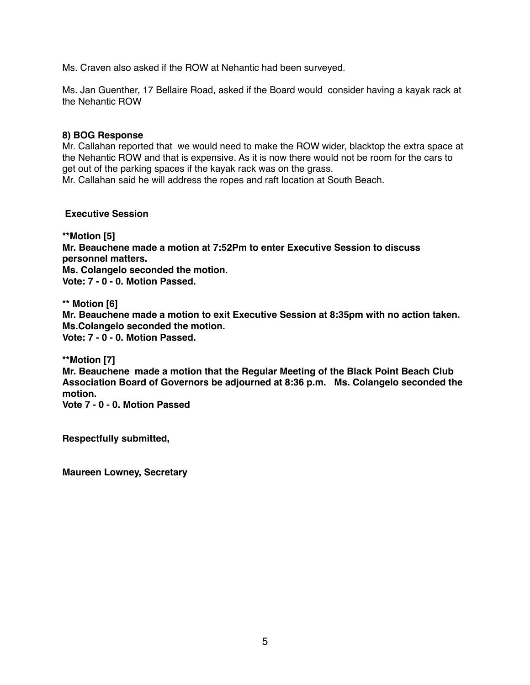Ms. Craven also asked if the ROW at Nehantic had been surveyed.

Ms. Jan Guenther, 17 Bellaire Road, asked if the Board would consider having a kayak rack at the Nehantic ROW

#### **8) BOG Response**

Mr. Callahan reported that we would need to make the ROW wider, blacktop the extra space at the Nehantic ROW and that is expensive. As it is now there would not be room for the cars to get out of the parking spaces if the kayak rack was on the grass.

Mr. Callahan said he will address the ropes and raft location at South Beach.

#### **Executive Session**

**\*\*Motion [5] Mr. Beauchene made a motion at 7:52Pm to enter Executive Session to discuss personnel matters. Ms. Colangelo seconded the motion. Vote: 7 - 0 - 0. Motion Passed.**

**\*\* Motion [6] Mr. Beauchene made a motion to exit Executive Session at 8:35pm with no action taken. Ms.Colangelo seconded the motion. Vote: 7 - 0 - 0. Motion Passed.**

**\*\*Motion [7]**

**Mr. Beauchene made a motion that the Regular Meeting of the Black Point Beach Club Association Board of Governors be adjourned at 8:36 p.m. Ms. Colangelo seconded the motion.**

**Vote 7 - 0 - 0. Motion Passed**

**Respectfully submitted,**

**Maureen Lowney, Secretary**